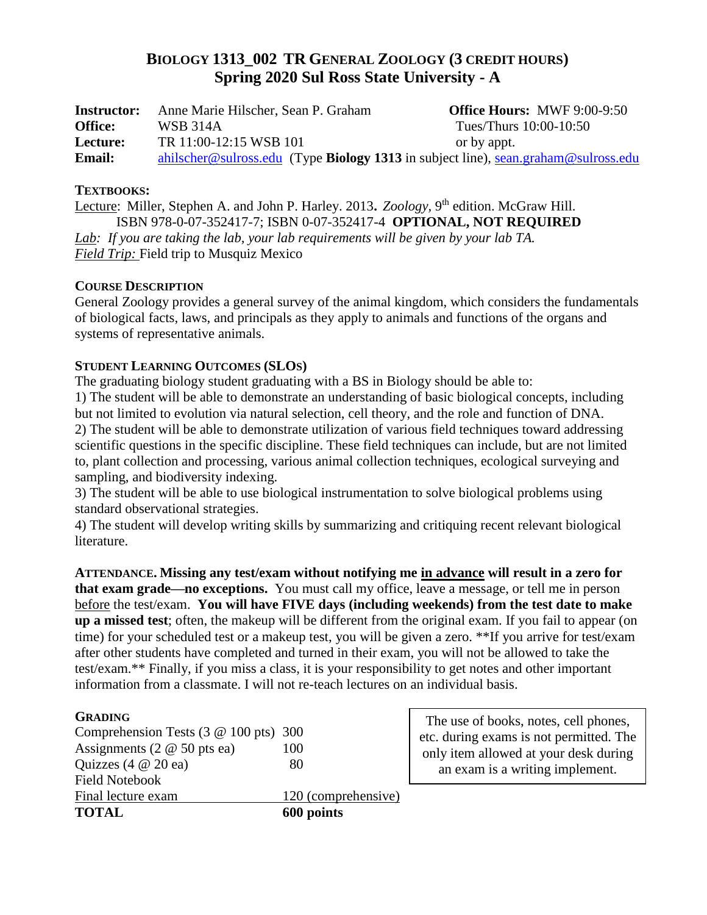# **BIOLOGY 1313\_002 TR GENERAL ZOOLOGY (3 CREDIT HOURS) Spring 2020 Sul Ross State University - A**

| <b>Instructor:</b> | Anne Marie Hilscher, Sean P. Graham | <b>Office Hours: MWF 9:00-9:50</b>                                                 |
|--------------------|-------------------------------------|------------------------------------------------------------------------------------|
| <b>Office:</b>     | WSB 314A                            | Tues/Thurs 10:00-10:50                                                             |
| Lecture:           | TR 11:00-12:15 WSB 101              | or by appt.                                                                        |
| <b>Email:</b>      |                                     | ahilscher@sulross.edu (Type Biology 1313 in subject line), sean.graham@sulross.edu |

## **TEXTBOOKS:**

Lecture: Miller, Stephen A. and John P. Harley. 2013**.** *Zoology,* 9 th edition. McGraw Hill. ISBN 978-0-07-352417-7; ISBN 0-07-352417-4 **OPTIONAL, NOT REQUIRED** *Lab: If you are taking the lab, your lab requirements will be given by your lab TA. Field Trip:* Field trip to Musquiz Mexico

## **COURSE DESCRIPTION**

General Zoology provides a general survey of the animal kingdom, which considers the fundamentals of biological facts, laws, and principals as they apply to animals and functions of the organs and systems of representative animals.

# **STUDENT LEARNING OUTCOMES (SLOS)**

The graduating biology student graduating with a BS in Biology should be able to:

1) The student will be able to demonstrate an understanding of basic biological concepts, including but not limited to evolution via natural selection, cell theory, and the role and function of DNA. 2) The student will be able to demonstrate utilization of various field techniques toward addressing scientific questions in the specific discipline. These field techniques can include, but are not limited to, plant collection and processing, various animal collection techniques, ecological surveying and sampling, and biodiversity indexing.

3) The student will be able to use biological instrumentation to solve biological problems using standard observational strategies.

4) The student will develop writing skills by summarizing and critiquing recent relevant biological literature.

**ATTENDANCE. Missing any test/exam without notifying me in advance will result in a zero for that exam grade—no exceptions.**You must call my office, leave a message, or tell me in person before the test/exam. **You will have FIVE days (including weekends) from the test date to make up a missed test**; often, the makeup will be different from the original exam. If you fail to appear (on time) for your scheduled test or a makeup test, you will be given a zero. \*\*If you arrive for test/exam after other students have completed and turned in their exam, you will not be allowed to take the test/exam.\*\* Finally, if you miss a class, it is your responsibility to get notes and other important information from a classmate. I will not re-teach lectures on an individual basis.

#### **GRADING**

| <b>TOTAL</b>                                        | 600 points          |
|-----------------------------------------------------|---------------------|
| Final lecture exam                                  | 120 (comprehensive) |
| <b>Field Notebook</b>                               |                     |
| Quizzes $(4 \t@ 20 \t@ 2)$                          | 80                  |
| Assignments (2 $@$ 50 pts ea)                       | 100                 |
| Comprehension Tests $(3 \& 100 \text{ pts}) \; 300$ |                     |

The use of books, notes, cell phones, etc. during exams is not permitted. The only item allowed at your desk during an exam is a writing implement.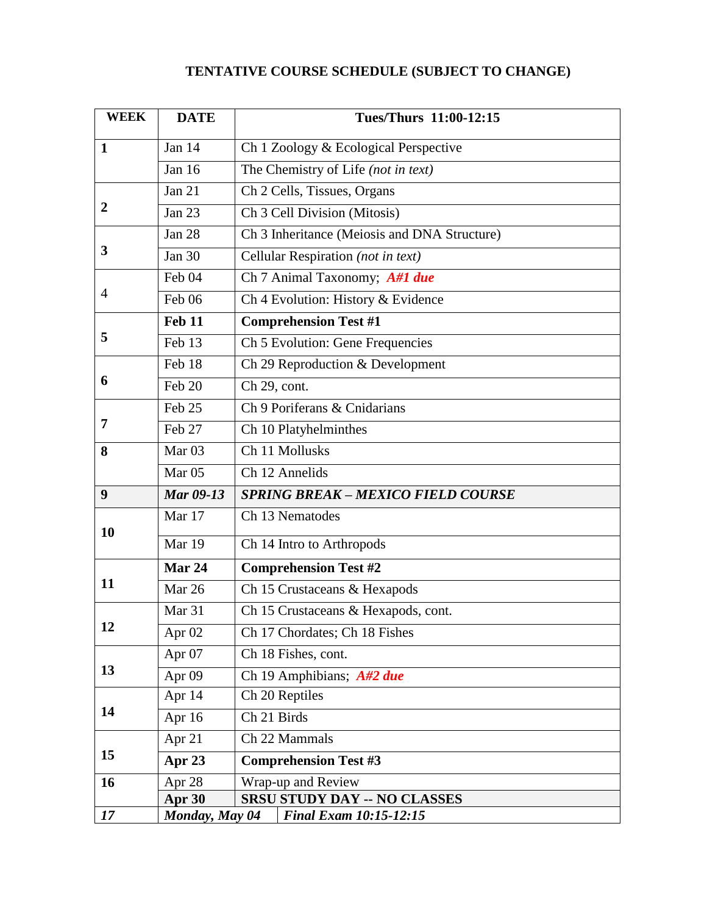# **TENTATIVE COURSE SCHEDULE (SUBJECT TO CHANGE)**

| <b>WEEK</b>      | <b>DATE</b>       | <b>Tues/Thurs 11:00-12:15</b>                |  |
|------------------|-------------------|----------------------------------------------|--|
| $\mathbf{1}$     | Jan 14            | Ch 1 Zoology & Ecological Perspective        |  |
|                  | <b>Jan 16</b>     | The Chemistry of Life (not in text)          |  |
| $\boldsymbol{2}$ | Jan $21$          | Ch 2 Cells, Tissues, Organs                  |  |
|                  | Jan 23            | Ch 3 Cell Division (Mitosis)                 |  |
| 3                | Jan 28            | Ch 3 Inheritance (Meiosis and DNA Structure) |  |
|                  | <b>Jan 30</b>     | Cellular Respiration (not in text)           |  |
| $\overline{4}$   | Feb 04            | Ch 7 Animal Taxonomy; A#1 due                |  |
|                  | Feb 06            | Ch 4 Evolution: History & Evidence           |  |
| 5                | Feb 11            | <b>Comprehension Test #1</b>                 |  |
|                  | Feb 13            | Ch 5 Evolution: Gene Frequencies             |  |
| 6                | Feb 18            | Ch 29 Reproduction & Development             |  |
|                  | Feb 20            | Ch 29, cont.                                 |  |
| 7                | Feb 25            | Ch 9 Poriferans & Cnidarians                 |  |
|                  | Feb 27            | Ch 10 Platyhelminthes                        |  |
| 8                | Mar <sub>03</sub> | Ch 11 Mollusks                               |  |
|                  | Mar <sub>05</sub> | Ch 12 Annelids                               |  |
| 9                | <b>Mar 09-13</b>  | <b>SPRING BREAK - MEXICO FIELD COURSE</b>    |  |
| 10               | Mar 17            | Ch 13 Nematodes                              |  |
|                  | Mar 19            | Ch 14 Intro to Arthropods                    |  |
| 11               | Mar 24            | <b>Comprehension Test #2</b>                 |  |
|                  | Mar 26            | Ch 15 Crustaceans & Hexapods                 |  |
| 12               | Mar <sub>31</sub> | Ch 15 Crustaceans & Hexapods, cont.          |  |
|                  | Apr $02$          | Ch 17 Chordates; Ch 18 Fishes                |  |
| 13               | Apr <sub>07</sub> | Ch 18 Fishes, cont.                          |  |
|                  | Apr <sub>09</sub> | Ch 19 Amphibians; $A#2$ due                  |  |
| 14               | Apr $14$          | Ch 20 Reptiles                               |  |
|                  | Apr 16            | Ch 21 Birds                                  |  |
| 15               | Apr 21            | Ch 22 Mammals                                |  |
|                  | Apr 23            | <b>Comprehension Test #3</b>                 |  |
| <b>16</b>        | Apr 28            | Wrap-up and Review                           |  |
|                  | Apr 30            | <b>SRSU STUDY DAY -- NO CLASSES</b>          |  |
| 17               | Monday, May 04    | <b>Final Exam 10:15-12:15</b>                |  |